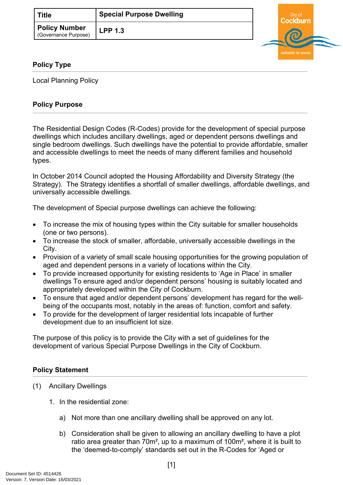| ∣ Title                               | <b>Special Purpose Dwelling</b> |
|---------------------------------------|---------------------------------|
| Policy Number<br>(Governance Purpose) | <b>LPP 1.3</b>                  |



## **Policy Type**

Local Planning Policy

## **Policy Purpose**

The Residential Design Codes (R-Codes) provide for the development of special purpose dwellings which includes ancillary dwellings, aged or dependent persons dwellings and single bedroom dwellings. Such dwellings have the potential to provide affordable, smaller and accessible dwellings to meet the needs of many different families and household types.

In October 2014 Council adopted the Housing Affordability and Diversity Strategy (the Strategy). The Strategy identifies a shortfall of smaller dwellings, affordable dwellings, and universally accessible dwellings.

The development of Special purpose dwellings can achieve the following:

- To increase the mix of housing types within the City suitable for smaller households (one or two persons).
- To increase the stock of smaller, affordable, universally accessible dwellings in the City.
- Provision of a variety of small scale housing opportunities for the growing population of aged and dependent persons in a variety of locations within the City.
- To provide increased opportunity for existing residents to 'Age in Place' in smaller dwellings To ensure aged and/or dependent persons' housing is suitably located and appropriately developed within the City of Cockburn.
- To ensure that aged and/or dependent persons' development has regard for the wellbeing of the occupants most, notably in the areas of: function, comfort and safety.
- To provide for the development of larger residential lots incapable of further development due to an insufficient lot size.

The purpose of this policy is to provide the City with a set of guidelines for the development of various Special Purpose Dwellings in the City of Cockburn.

## **[Policy Statement](#page-0-0)**

- <span id="page-0-0"></span>(1) Ancillary Dwellings
	- 1. In the residential zone:
		- a) Not more than one ancillary dwelling shall be approved on any lot.
		- b) Consideration shall be given to allowing an ancillary dwelling to have a plot ratio area greater than 70m², up to a maximum of 100m², where it is built to the 'deemed-to-comply' standards set out in the R-Codes for 'Aged or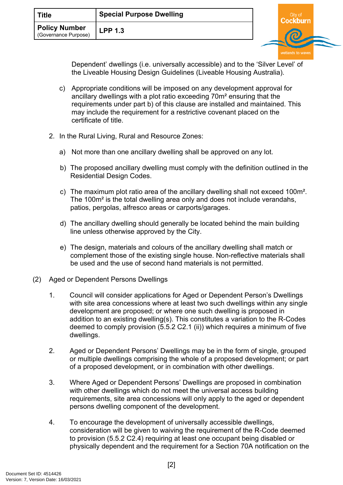| Title                                        | <b>Special Purpose Dwelling</b> |  |  |
|----------------------------------------------|---------------------------------|--|--|
| <b>Policy Number</b><br>(Governance Purpose) | <b>LPP 1.3</b>                  |  |  |

Dependent' dwellings (i.e. universally accessible) and to the 'Silver Level' of the Liveable Housing Design Guidelines (Liveable Housing Australia).

- c) Appropriate conditions will be imposed on any development approval for ancillary dwellings with a plot ratio exceeding 70m² ensuring that the requirements under part b) of this clause are installed and maintained. This may include the requirement for a restrictive covenant placed on the certificate of title.
- 2. In the Rural Living, Rural and Resource Zones:
	- a) Not more than one ancillary dwelling shall be approved on any lot.
	- b) The proposed ancillary dwelling must comply with the definition outlined in the Residential Design Codes.
	- c) The maximum plot ratio area of the ancillary dwelling shall not exceed 100m². The 100m² is the total dwelling area only and does not include verandahs, patios, pergolas, alfresco areas or carports/garages.
	- d) The ancillary dwelling should generally be located behind the main building line unless otherwise approved by the City.
	- e) The design, materials and colours of the ancillary dwelling shall match or complement those of the existing single house. Non-reflective materials shall be used and the use of second hand materials is not permitted.
- (2) Aged or Dependent Persons Dwellings
	- 1. Council will consider applications for Aged or Dependent Person's Dwellings with site area concessions where at least two such dwellings within any single development are proposed; or where one such dwelling is proposed in addition to an existing dwelling(s). This constitutes a variation to the R-Codes deemed to comply provision (5.5.2 C2.1 (ii)) which requires a minimum of five dwellings.
	- 2. Aged or Dependent Persons' Dwellings may be in the form of single, grouped or multiple dwellings comprising the whole of a proposed development; or part of a proposed development, or in combination with other dwellings.
	- 3. Where Aged or Dependent Persons' Dwellings are proposed in combination with other dwellings which do not meet the universal access building requirements, site area concessions will only apply to the aged or dependent persons dwelling component of the development.
	- 4. To encourage the development of universally accessible dwellings, consideration will be given to waiving the requirement of the R-Code deemed to provision (5.5.2 C2.4) requiring at least one occupant being disabled or physically dependent and the requirement for a Section 70A notification on the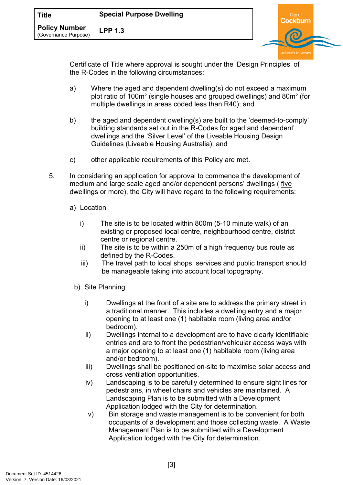| <b>Title</b>                                 | <b>Special Purpose Dwelling</b> | City of |  |  |
|----------------------------------------------|---------------------------------|---------|--|--|
| <b>Policy Number</b><br>(Governance Purpose) | <b>LPP 1.3</b>                  |         |  |  |

Certificate of Title where approval is sought under the 'Design Principles' of the R-Codes in the following circumstances:

- a) Where the aged and dependent dwelling(s) do not exceed a maximum plot ratio of 100m² (single houses and grouped dwellings) and 80m² (for multiple dwellings in areas coded less than R40); and
- b) the aged and dependent dwelling(s) are built to the 'deemed-to-comply' building standards set out in the R-Codes for aged and dependent' dwellings and the 'Silver Level' of the Liveable Housing Design Guidelines (Liveable Housing Australia); and
- c) other applicable requirements of this Policy are met.
- 5. In considering an application for approval to commence the development of medium and large scale aged and/or dependent persons' dwellings ( five dwellings or more), the City will have regard to the following requirements:
	- a) Location
		- i) The site is to be located within 800m (5-10 minute walk) of an existing or proposed local centre, neighbourhood centre, district centre or regional centre.
		- ii) The site is to be within a 250m of a high frequency bus route as defined by the R-Codes.
		- iii) The travel path to local shops, services and public transport should be manageable taking into account local topography.
		- b) Site Planning
			- i) Dwellings at the front of a site are to address the primary street in a traditional manner. This includes a dwelling entry and a major opening to at least one (1) habitable room (living area and/or bedroom).
			- ii) Dwellings internal to a development are to have clearly identifiable entries and are to front the pedestrian/vehicular access ways with a major opening to at least one (1) habitable room (living area and/or bedroom).
			- iii) Dwellings shall be positioned on-site to maximise solar access and cross ventilation opportunities.
			- iv) Landscaping is to be carefully determined to ensure sight lines for pedestrians, in wheel chairs and vehicles are maintained. A Landscaping Plan is to be submitted with a Development Application lodged with the City for determination.
			- v) Bin storage and waste management is to be convenient for both occupants of a development and those collecting waste. A Waste Management Plan is to be submitted with a Development Application lodged with the City for determination.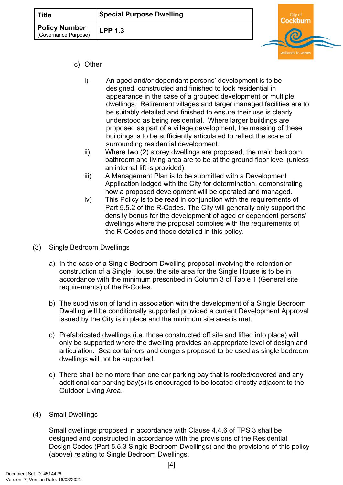| <b>Title</b>                                 | <b>Special Purpose Dwelling</b> |  |  |  |
|----------------------------------------------|---------------------------------|--|--|--|
| <b>Policy Number</b><br>(Governance Purpose) | <b>LPP 1.3</b>                  |  |  |  |
|                                              |                                 |  |  |  |

- c) Other
	- i) An aged and/or dependant persons' development is to be designed, constructed and finished to look residential in appearance in the case of a grouped development or multiple dwellings. Retirement villages and larger managed facilities are to be suitably detailed and finished to ensure their use is clearly understood as being residential. Where larger buildings are proposed as part of a village development, the massing of these buildings is to be sufficiently articulated to reflect the scale of surrounding residential development.
	- ii) Where two (2) storey dwellings are proposed, the main bedroom, bathroom and living area are to be at the ground floor level (unless an internal lift is provided).
	- iii) A Management Plan is to be submitted with a Development Application lodged with the City for determination, demonstrating how a proposed development will be operated and managed.
	- iv) This Policy is to be read in conjunction with the requirements of Part 5.5.2 of the R-Codes. The City will generally only support the density bonus for the development of aged or dependent persons' dwellings where the proposal complies with the requirements of the R-Codes and those detailed in this policy.
- (3) Single Bedroom Dwellings
	- a) In the case of a Single Bedroom Dwelling proposal involving the retention or construction of a Single House, the site area for the Single House is to be in accordance with the minimum prescribed in Column 3 of Table 1 (General site requirements) of the R-Codes.
	- b) The subdivision of land in association with the development of a Single Bedroom Dwelling will be conditionally supported provided a current Development Approval issued by the City is in place and the minimum site area is met.
	- c) Prefabricated dwellings (i.e. those constructed off site and lifted into place) will only be supported where the dwelling provides an appropriate level of design and articulation. Sea containers and dongers proposed to be used as single bedroom dwellings will not be supported.
	- d) There shall be no more than one car parking bay that is roofed/covered and any additional car parking bay(s) is encouraged to be located directly adjacent to the Outdoor Living Area.
- (4) Small Dwellings

Small dwellings proposed in accordance with Clause 4.4.6 of TPS 3 shall be designed and constructed in accordance with the provisions of the Residential Design Codes (Part 5.5.3 Single Bedroom Dwellings) and the provisions of this policy (above) relating to Single Bedroom Dwellings.